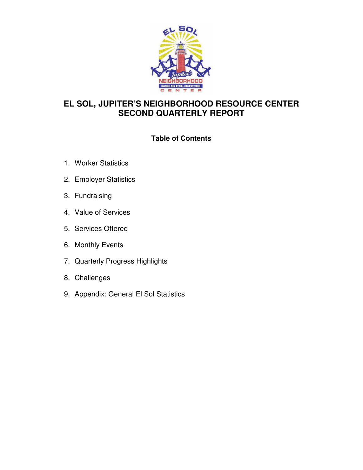

# **EL SOL, JUPITER'S NEIGHBORHOOD RESOURCE CENTER SECOND QUARTERLY REPORT**

# **Table of Contents**

- 1. Worker Statistics
- 2. Employer Statistics
- 3. Fundraising
- 4. Value of Services
- 5. Services Offered
- 6. Monthly Events
- 7. Quarterly Progress Highlights
- 8. Challenges
- 9. Appendix: General El Sol Statistics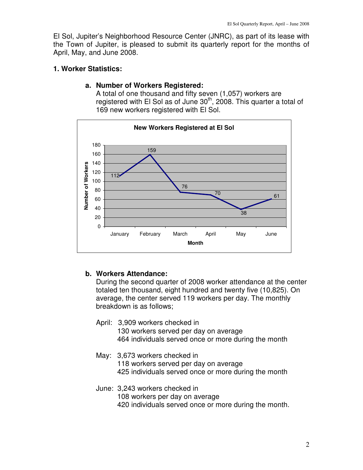El Sol, Jupiter's Neighborhood Resource Center (JNRC), as part of its lease with the Town of Jupiter, is pleased to submit its quarterly report for the months of April, May, and June 2008.

## **1. Worker Statistics:**

#### **a. Number of Workers Registered:**

A total of one thousand and fifty seven (1,057) workers are registered with El Sol as of June  $30<sup>th</sup>$ , 2008. This quarter a total of 169 new workers registered with El Sol.



# **b. Workers Attendance:**

During the second quarter of 2008 worker attendance at the center totaled ten thousand, eight hundred and twenty five (10,825). On average, the center served 119 workers per day. The monthly breakdown is as follows;

- April: 3,909 workers checked in 130 workers served per day on average 464 individuals served once or more during the month
- May: 3,673 workers checked in 118 workers served per day on average 425 individuals served once or more during the month
- June: 3,243 workers checked in 108 workers per day on average 420 individuals served once or more during the month.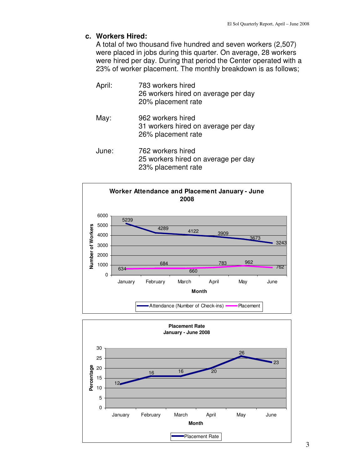#### **c. Workers Hired:**

A total of two thousand five hundred and seven workers (2,507) were placed in jobs during this quarter. On average, 28 workers were hired per day. During that period the Center operated with a 23% of worker placement. The monthly breakdown is as follows;

- April: 783 workers hired 26 workers hired on average per day 20% placement rate
- May: 962 workers hired 31 workers hired on average per day 26% placement rate
- June: 762 workers hired 25 workers hired on average per day 23% placement rate



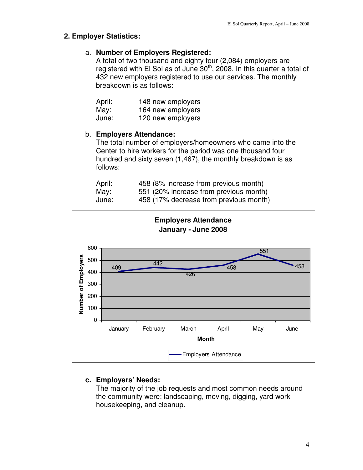#### **2. Employer Statistics:**

## a. **Number of Employers Registered:**

A total of two thousand and eighty four (2,084) employers are registered with El Sol as of June  $30<sup>th</sup>$ , 2008. In this quarter a total of 432 new employers registered to use our services. The monthly breakdown is as follows:

| April: | 148 new employers |
|--------|-------------------|
| May:   | 164 new employers |
| June:  | 120 new employers |

## b. **Employers Attendance:**

The total number of employers/homeowners who came into the Center to hire workers for the period was one thousand four hundred and sixty seven (1,467), the monthly breakdown is as follows:

| April: | 458 (8% increase from previous month)  |
|--------|----------------------------------------|
| May:   | 551 (20% increase from previous month) |
| June:  | 458 (17% decrease from previous month) |



# **c. Employers' Needs:**

The majority of the job requests and most common needs around the community were: landscaping, moving, digging, yard work housekeeping, and cleanup.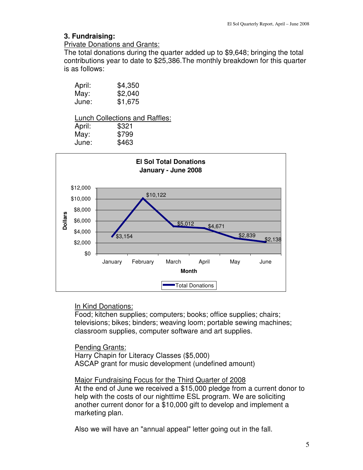## **3. Fundraising:**

#### Private Donations and Grants:

The total donations during the quarter added up to \$9,648; bringing the total contributions year to date to \$25,386.The monthly breakdown for this quarter is as follows:

| April: | \$4,350 |
|--------|---------|
| May:   | \$2,040 |
| June:  | \$1,675 |

|        | <b>Lunch Collections and Raffles:</b> |
|--------|---------------------------------------|
| April: | \$321                                 |
| May:   | \$799                                 |
| June:  | \$463                                 |



# In Kind Donations:

Food; kitchen supplies; computers; books; office supplies; chairs; televisions; bikes; binders; weaving loom; portable sewing machines; classroom supplies, computer software and art supplies.

#### Pending Grants:

Harry Chapin for Literacy Classes (\$5,000) ASCAP grant for music development (undefined amount)

#### Major Fundraising Focus for the Third Quarter of 2008

At the end of June we received a \$15,000 pledge from a current donor to help with the costs of our nighttime ESL program. We are soliciting another current donor for a \$10,000 gift to develop and implement a marketing plan.

Also we will have an "annual appeal" letter going out in the fall.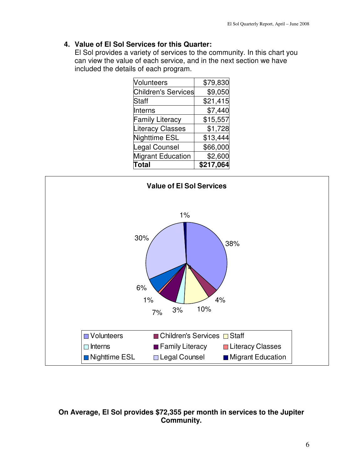# **4. Value of El Sol Services for this Quarter:**

El Sol provides a variety of services to the community. In this chart you can view the value of each service, and in the next section we have included the details of each program.

| <b>Volunteers</b>          | \$79,830  |
|----------------------------|-----------|
| <b>Children's Services</b> | \$9,050   |
| <b>Staff</b>               | \$21,415  |
| Interns                    | \$7,440   |
| <b>Family Literacy</b>     | \$15,557  |
| <b>Literacy Classes</b>    | \$1,728   |
| Nighttime ESL              | \$13,444  |
| Legal Counsel              | \$66,000  |
| <b>Migrant Education</b>   | \$2,600   |
| Total                      | \$217,064 |



# **On Average, El Sol provides \$72,355 per month in services to the Jupiter Community.**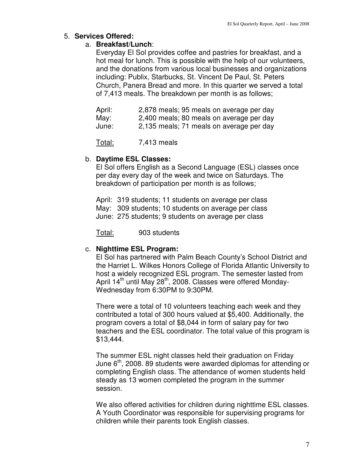## 5. **Services Offered:**

## a. **Breakfast/Lunch**:

Everyday El Sol provides coffee and pastries for breakfast, and a hot meal for lunch. This is possible with the help of our volunteers, and the donations from various local businesses and organizations including: Publix, Starbucks, St. Vincent De Paul, St. Peters Church, Panera Bread and more. In this quarter we served a total of 7,413 meals. The breakdown per month is as follows;

| April: | 2,878 meals; 95 meals on average per day |
|--------|------------------------------------------|
| May:   | 2,400 meals; 80 meals on average per day |
| June:  | 2,135 meals; 71 meals on average per day |

Total: 7,413 meals

# b. **Daytime ESL Classes:**

El Sol offers English as a Second Language (ESL) classes once per day every day of the week and twice on Saturdays. The breakdown of participation per month is as follows;

April: 319 students; 11 students on average per class May: 309 students; 10 students on average per class June: 275 students; 9 students on average per class

Total: 903 students

# c. **Nighttime ESL Program:**

El Sol has partnered with Palm Beach County's School District and the Harriet L. Wilkes Honors College of Florida Atlantic University to host a widely recognized ESL program. The semester lasted from April 14<sup>th</sup> until May 28<sup>th</sup>, 2008. Classes were offered Monday-Wednesday from 6:30PM to 9:30PM.

There were a total of 10 volunteers teaching each week and they contributed a total of 300 hours valued at \$5,400. Additionally, the program covers a total of \$8,044 in form of salary pay for two teachers and the ESL coordinator. The total value of this program is \$13,444.

The summer ESL night classes held their graduation on Friday June 6<sup>th</sup>, 2008. 89 students were awarded diplomas for attending or completing English class. The attendance of women students held steady as 13 women completed the program in the summer session.

We also offered activities for children during nighttime ESL classes. A Youth Coordinator was responsible for supervising programs for children while their parents took English classes.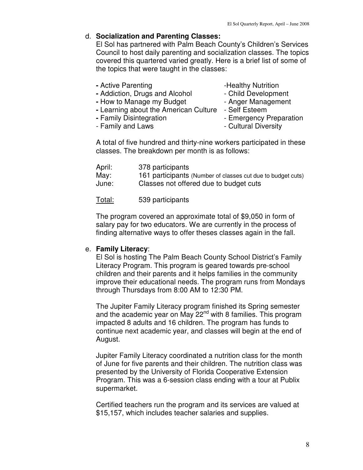## d. **Socialization and Parenting Classes:**

El Sol has partnered with Palm Beach County's Children's Services Council to host daily parenting and socialization classes. The topics covered this quartered varied greatly. Here is a brief list of some of the topics that were taught in the classes:

- Active Parenting **-Healthy Nutrition**
- 
- Addiction, Drugs and Alcohol  **Child Development**
- How to Manage my Budget Anger Management
- 
- **-** Learning about the American Culture Self Esteem
	-
- **-** Family Disintegration  **Emergency Preparation**
- Family and Laws **Family** and Laws **Family** and Laws
- 
- A total of five hundred and thirty-nine workers participated in these classes. The breakdown per month is as follows:

| April: | 378 participants                                            |
|--------|-------------------------------------------------------------|
| May:   | 161 participants (Number of classes cut due to budget cuts) |
| June:  | Classes not offered due to budget cuts                      |

Total: 539 participants

The program covered an approximate total of \$9,050 in form of salary pay for two educators. We are currently in the process of finding alternative ways to offer theses classes again in the fall.

#### e. **Family Literacy**:

El Sol is hosting The Palm Beach County School District's Family Literacy Program. This program is geared towards pre-school children and their parents and it helps families in the community improve their educational needs. The program runs from Mondays through Thursdays from 8:00 AM to 12:30 PM.

The Jupiter Family Literacy program finished its Spring semester and the academic year on May 22<sup>nd</sup> with 8 families. This program impacted 8 adults and 16 children. The program has funds to continue next academic year, and classes will begin at the end of August.

Jupiter Family Literacy coordinated a nutrition class for the month of June for five parents and their children. The nutrition class was presented by the University of Florida Cooperative Extension Program. This was a 6-session class ending with a tour at Publix supermarket.

Certified teachers run the program and its services are valued at \$15,157, which includes teacher salaries and supplies.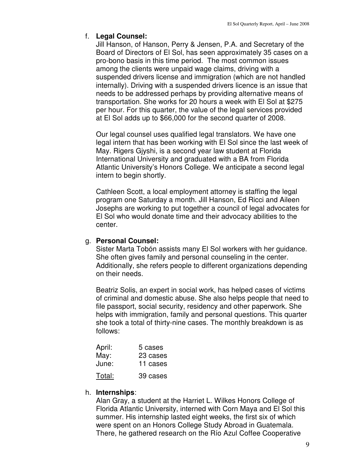## f. **Legal Counsel:**

Jill Hanson, of Hanson, Perry & Jensen, P.A. and Secretary of the Board of Directors of El Sol, has seen approximately 35 cases on a pro-bono basis in this time period. The most common issues among the clients were unpaid wage claims, driving with a suspended drivers license and immigration (which are not handled internally). Driving with a suspended drivers licence is an issue that needs to be addressed perhaps by providing alternative means of transportation. She works for 20 hours a week with El Sol at \$275 per hour. For this quarter, the value of the legal services provided at El Sol adds up to \$66,000 for the second quarter of 2008.

Our legal counsel uses qualified legal translators. We have one legal intern that has been working with El Sol since the last week of May. Rigers Gjyshi, is a second year law student at Florida International University and graduated with a BA from Florida Atlantic University's Honors College. We anticipate a second legal intern to begin shortly.

Cathleen Scott, a local employment attorney is staffing the legal program one Saturday a month. Jill Hanson, Ed Ricci and Aileen Josephs are working to put together a council of legal advocates for El Sol who would donate time and their advocacy abilities to the center.

# g. **Personal Counsel:**

Sister Marta Tobón assists many El Sol workers with her guidance. She often gives family and personal counseling in the center. Additionally, she refers people to different organizations depending on their needs.

Beatriz Solis, an expert in social work, has helped cases of victims of criminal and domestic abuse. She also helps people that need to file passport, social security, residency and other paperwork. She helps with immigration, family and personal questions. This quarter she took a total of thirty-nine cases. The monthly breakdown is as follows:

| April: | 5 cases  |
|--------|----------|
| May:   | 23 cases |
| June:  | 11 cases |
| Total: | 39 cases |

#### h. **Internships**:

Alan Gray, a student at the Harriet L. Wilkes Honors College of Florida Atlantic University, interned with Corn Maya and El Sol this summer. His internship lasted eight weeks, the first six of which were spent on an Honors College Study Abroad in Guatemala. There, he gathered research on the Río Azul Coffee Cooperative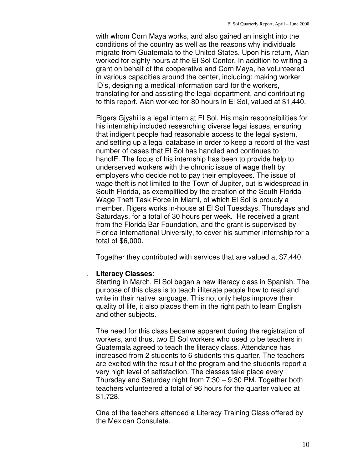with whom Corn Maya works, and also gained an insight into the conditions of the country as well as the reasons why individuals migrate from Guatemala to the United States. Upon his return, Alan worked for eighty hours at the El Sol Center. In addition to writing a grant on behalf of the cooperative and Corn Maya, he volunteered in various capacities around the center, including: making worker ID's, designing a medical information card for the workers, translating for and assisting the legal department, and contributing to this report. Alan worked for 80 hours in El Sol, valued at \$1,440.

Rigers Gjyshi is a legal intern at El Sol. His main responsibilities for his internship included researching diverse legal issues, ensuring that indigent people had reasonable access to the legal system, and setting up a legal database in order to keep a record of the vast number of cases that El Sol has handled and continues to handlE. The focus of his internship has been to provide help to underserved workers with the chronic issue of wage theft by employers who decide not to pay their employees. The issue of wage theft is not limited to the Town of Jupiter, but is widespread in South Florida, as exemplified by the creation of the South Florida Wage Theft Task Force in Miami, of which El Sol is proudly a member. Rigers works in-house at El Sol Tuesdays, Thursdays and Saturdays, for a total of 30 hours per week. He received a grant from the Florida Bar Foundation, and the grant is supervised by Florida International University, to cover his summer internship for a total of \$6,000.

Together they contributed with services that are valued at \$7,440.

#### i. **Literacy Classes**:

Starting in March, El Sol began a new literacy class in Spanish. The purpose of this class is to teach illiterate people how to read and write in their native language. This not only helps improve their quality of life, it also places them in the right path to learn English and other subjects.

The need for this class became apparent during the registration of workers, and thus, two El Sol workers who used to be teachers in Guatemala agreed to teach the literacy class. Attendance has increased from 2 students to 6 students this quarter. The teachers are excited with the result of the program and the students report a very high level of satisfaction. The classes take place every Thursday and Saturday night from 7:30 – 9:30 PM. Together both teachers volunteered a total of 96 hours for the quarter valued at \$1,728.

One of the teachers attended a Literacy Training Class offered by the Mexican Consulate.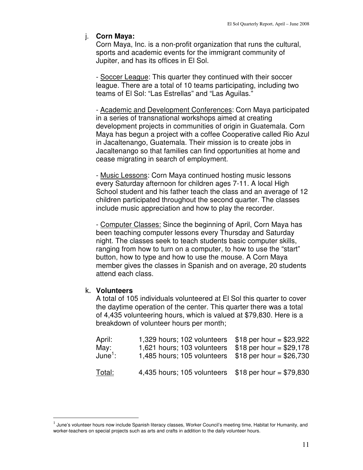# j. **Corn Maya:**

Corn Maya, Inc. is a non-profit organization that runs the cultural, sports and academic events for the immigrant community of Jupiter, and has its offices in El Sol.

- Soccer League: This quarter they continued with their soccer league. There are a total of 10 teams participating, including two teams of El Sol: "Las Estrellas" and "Las Aguilas."

- Academic and Development Conferences: Corn Maya participated in a series of transnational workshops aimed at creating development projects in communities of origin in Guatemala. Corn Maya has begun a project with a coffee Cooperative called Rio Azul in Jacaltenango, Guatemala. Their mission is to create jobs in Jacaltenango so that families can find opportunities at home and cease migrating in search of employment.

- Music Lessons: Corn Maya continued hosting music lessons every Saturday afternoon for children ages 7-11. A local High School student and his father teach the class and an average of 12 children participated throughout the second quarter. The classes include music appreciation and how to play the recorder.

- Computer Classes: Since the beginning of April, Corn Maya has been teaching computer lessons every Thursday and Saturday night. The classes seek to teach students basic computer skills, ranging from how to turn on a computer, to how to use the "start" button, how to type and how to use the mouse. A Corn Maya member gives the classes in Spanish and on average, 20 students attend each class.

# k. **Volunteers**

 $\overline{a}$ 

A total of 105 individuals volunteered at El Sol this quarter to cover the daytime operation of the center. This quarter there was a total of 4,435 volunteering hours, which is valued at \$79,830. Here is a breakdown of volunteer hours per month;

| April:<br>May:<br>June $^1$ : | 1,329 hours; 102 volunteers $$18$ per hour = \$23,922<br>1,621 hours; 103 volunteers<br>1,485 hours; 105 volunteers | $$18$ per hour = \$29,178<br>$$18$ per hour = \$26,730 |
|-------------------------------|---------------------------------------------------------------------------------------------------------------------|--------------------------------------------------------|
| <u>Total:</u>                 | 4,435 hours; 105 volunteers $$18$ per hour = \$79,830                                                               |                                                        |

 $^{\rm 1}$  June's volunteer hours now include Spanish literacy classes, Worker Council's meeting time, Habitat for Humanity, and worker-teachers on special projects such as arts and crafts in addition to the daily volunteer hours.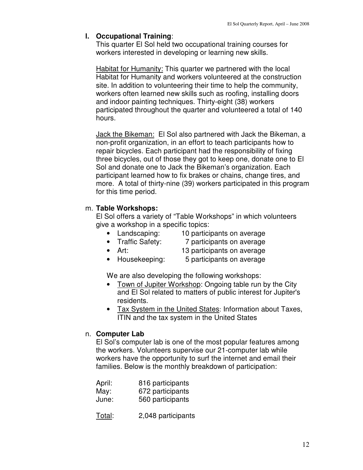# **l. Occupational Training**:

This quarter El Sol held two occupational training courses for workers interested in developing or learning new skills.

Habitat for Humanity: This quarter we partnered with the local Habitat for Humanity and workers volunteered at the construction site. In addition to volunteering their time to help the community, workers often learned new skills such as roofing, installing doors and indoor painting techniques. Thirty-eight (38) workers participated throughout the quarter and volunteered a total of 140 hours.

Jack the Bikeman: El Sol also partnered with Jack the Bikeman, a non-profit organization, in an effort to teach participants how to repair bicycles. Each participant had the responsibility of fixing three bicycles, out of those they got to keep one, donate one to El Sol and donate one to Jack the Bikeman's organization. Each participant learned how to fix brakes or chains, change tires, and more. A total of thirty-nine (39) workers participated in this program for this time period.

# m. **Table Workshops:**

El Sol offers a variety of "Table Workshops" in which volunteers give a workshop in a specific topics:

- Landscaping: 10 participants on average
- 
- Traffic Safety: 7 participants on average
- 
- Art: 13 participants on average
- Housekeeping: 5 participants on average

We are also developing the following workshops:

- Town of Jupiter Workshop: Ongoing table run by the City and El Sol related to matters of public interest for Jupiter's residents.
- Tax System in the United States: Information about Taxes, ITIN and the tax system in the United States

# n. **Computer Lab**

El Sol's computer lab is one of the most popular features among the workers. Volunteers supervise our 21-computer lab while workers have the opportunity to surf the internet and email their families. Below is the monthly breakdown of participation:

| April: | 816 participants |
|--------|------------------|
| May:   | 672 participants |
| June:  | 560 participants |

Total: 2,048 participants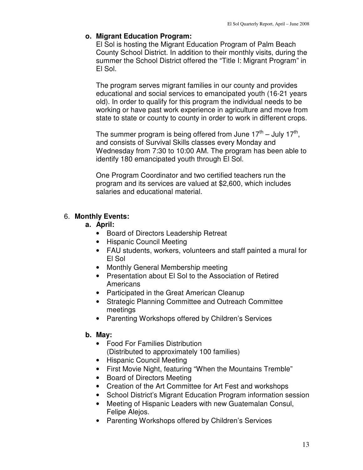# **o. Migrant Education Program:**

El Sol is hosting the Migrant Education Program of Palm Beach County School District. In addition to their monthly visits, during the summer the School District offered the "Title I: Migrant Program" in El Sol.

The program serves migrant families in our county and provides educational and social services to emancipated youth (16-21 years old). In order to qualify for this program the individual needs to be working or have past work experience in agriculture and move from state to state or county to county in order to work in different crops.

The summer program is being offered from June 17<sup>th</sup> – July 17<sup>th</sup>, and consists of Survival Skills classes every Monday and Wednesday from 7:30 to 10:00 AM. The program has been able to identify 180 emancipated youth through El Sol.

One Program Coordinator and two certified teachers run the program and its services are valued at \$2,600, which includes salaries and educational material.

# 6. **Monthly Events:**

## **a. April:**

- Board of Directors Leadership Retreat
- Hispanic Council Meeting
- FAU students, workers, volunteers and staff painted a mural for El Sol
- Monthly General Membership meeting
- Presentation about El Sol to the Association of Retired **Americans**
- Participated in the Great American Cleanup
- Strategic Planning Committee and Outreach Committee meetings
- Parenting Workshops offered by Children's Services

# **b. May:**

- Food For Families Distribution (Distributed to approximately 100 families)
- Hispanic Council Meeting
- First Movie Night, featuring "When the Mountains Tremble"
- Board of Directors Meeting
- Creation of the Art Committee for Art Fest and workshops
- School District's Migrant Education Program information session
- Meeting of Hispanic Leaders with new Guatemalan Consul, Felipe Alejos.
- Parenting Workshops offered by Children's Services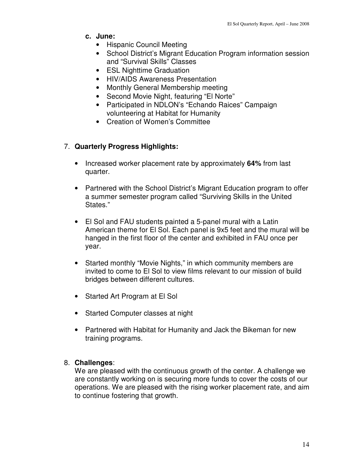- **c. June:** 
	- Hispanic Council Meeting
	- School District's Migrant Education Program information session and "Survival Skills" Classes
	- ESL Nighttime Graduation
	- HIV/AIDS Awareness Presentation
	- Monthly General Membership meeting
	- Second Movie Night, featuring "El Norte"
	- Participated in NDLON's "Echando Raices" Campaign volunteering at Habitat for Humanity
	- Creation of Women's Committee

# 7. **Quarterly Progress Highlights:**

- Increased worker placement rate by approximately **64%** from last quarter.
- Partnered with the School District's Migrant Education program to offer a summer semester program called "Surviving Skills in the United States."
- El Sol and FAU students painted a 5-panel mural with a Latin American theme for El Sol. Each panel is 9x5 feet and the mural will be hanged in the first floor of the center and exhibited in FAU once per year.
- Started monthly "Movie Nights," in which community members are invited to come to El Sol to view films relevant to our mission of build bridges between different cultures.
- Started Art Program at El Sol
- Started Computer classes at night
- Partnered with Habitat for Humanity and Jack the Bikeman for new training programs.

#### 8. **Challenges**:

We are pleased with the continuous growth of the center. A challenge we are constantly working on is securing more funds to cover the costs of our operations. We are pleased with the rising worker placement rate, and aim to continue fostering that growth.